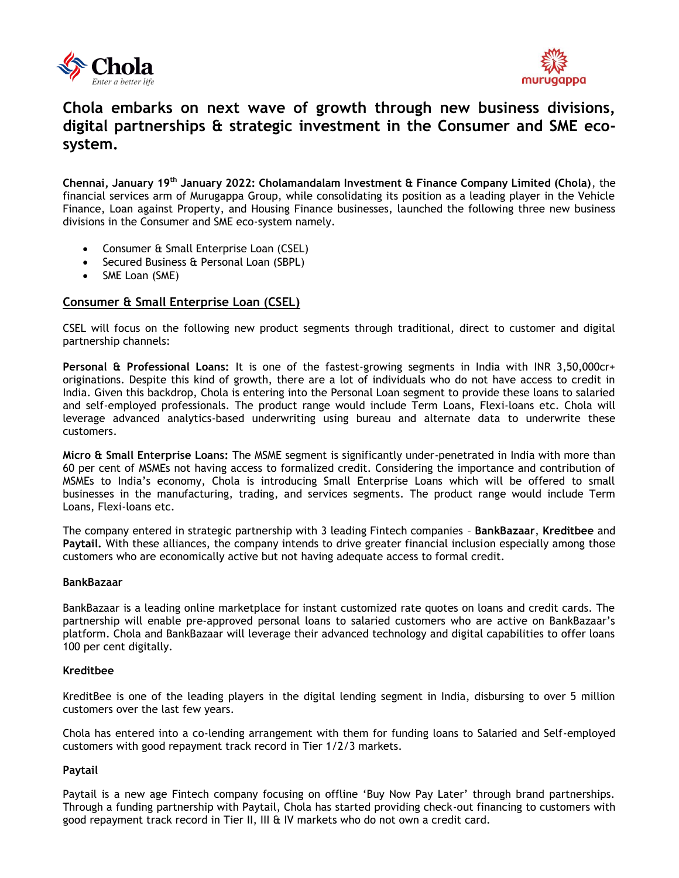



# **Chola embarks on next wave of growth through new business divisions, digital partnerships & strategic investment in the Consumer and SME ecosystem.**

**Chennai, January 19th January 2022: Cholamandalam Investment & Finance Company Limited (Chola)**, the financial services arm of Murugappa Group, while consolidating its position as a leading player in the Vehicle Finance, Loan against Property, and Housing Finance businesses, launched the following three new business divisions in the Consumer and SME eco-system namely.

- Consumer & Small Enterprise Loan (CSEL)
- Secured Business & Personal Loan (SBPL)
- SME Loan (SME)

## **Consumer & Small Enterprise Loan (CSEL)**

CSEL will focus on the following new product segments through traditional, direct to customer and digital partnership channels:

**Personal & Professional Loans:** It is one of the fastest-growing segments in India with INR 3,50,000cr+ originations. Despite this kind of growth, there are a lot of individuals who do not have access to credit in India. Given this backdrop, Chola is entering into the Personal Loan segment to provide these loans to salaried and self-employed professionals. The product range would include Term Loans, Flexi-loans etc. Chola will leverage advanced analytics-based underwriting using bureau and alternate data to underwrite these customers.

**Micro & Small Enterprise Loans:** The MSME segment is significantly under-penetrated in India with more than 60 per cent of MSMEs not having access to formalized credit. Considering the importance and contribution of MSMEs to India's economy, Chola is introducing Small Enterprise Loans which will be offered to small businesses in the manufacturing, trading, and services segments. The product range would include Term Loans, Flexi-loans etc.

The company entered in strategic partnership with 3 leading Fintech companies – **BankBazaar**, **Kreditbee** and **Paytail.** With these alliances, the company intends to drive greater financial inclusion especially among those customers who are economically active but not having adequate access to formal credit.

#### **BankBazaar**

BankBazaar is a leading online marketplace for instant customized rate quotes on loans and credit cards. The partnership will enable pre-approved personal loans to salaried customers who are active on BankBazaar's platform. Chola and BankBazaar will leverage their advanced technology and digital capabilities to offer loans 100 per cent digitally.

#### **Kreditbee**

KreditBee is one of the leading players in the digital lending segment in India, disbursing to over 5 million customers over the last few years.

Chola has entered into a co-lending arrangement with them for funding loans to Salaried and Self-employed customers with good repayment track record in Tier 1/2/3 markets.

#### **Paytail**

Paytail is a new age Fintech company focusing on offline 'Buy Now Pay Later' through brand partnerships. Through a funding partnership with Paytail, Chola has started providing check-out financing to customers with good repayment track record in Tier II, III & IV markets who do not own a credit card.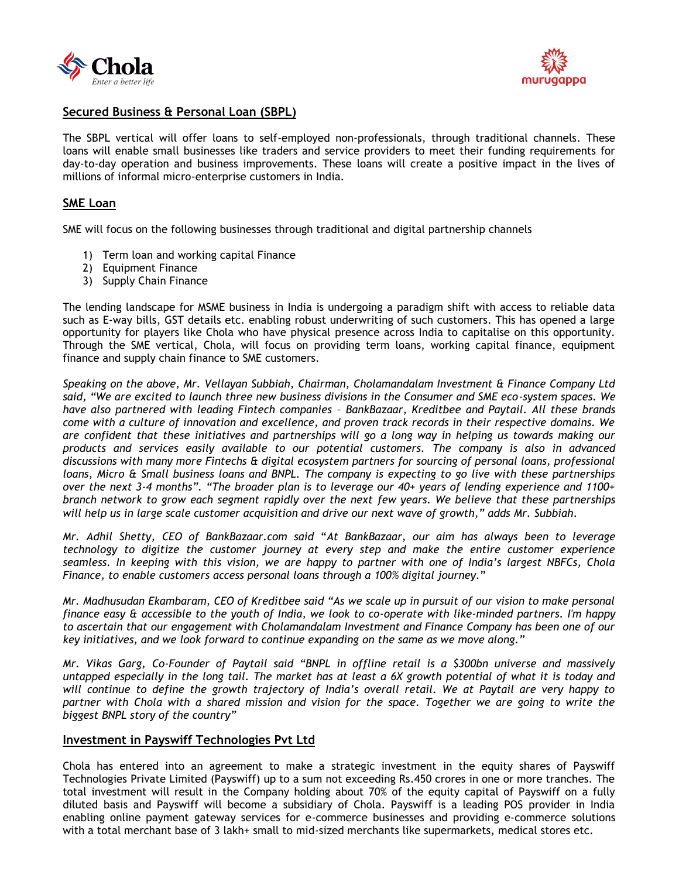



# **Secured Business & Personal Loan (SBPL)**

The SBPL vertical will offer loans to self-employed non-professionals, through traditional channels. These loans will enable small businesses like traders and service providers to meet their funding requirements for day-to-day operation and business improvements. These loans will create a positive impact in the lives of millions of informal micro-enterprise customers in India.

# **SME Loan**

SME will focus on the following businesses through traditional and digital partnership channels

- 1) Term loan and working capital Finance
- 2) Equipment Finance
- 3) Supply Chain Finance

The lending landscape for MSME business in India is undergoing a paradigm shift with access to reliable data such as E-way bills, GST details etc. enabling robust underwriting of such customers. This has opened a large opportunity for players like Chola who have physical presence across India to capitalise on this opportunity. Through the SME vertical, Chola, will focus on providing term loans, working capital finance, equipment finance and supply chain finance to SME customers.

*Speaking on the above, Mr. Vellayan Subbiah, Chairman, Cholamandalam Investment & Finance Company Ltd said, "We are excited to launch three new business divisions in the Consumer and SME eco-system spaces. We have also partnered with leading Fintech companies – BankBazaar, Kreditbee and Paytail. All these brands come with a culture of innovation and excellence, and proven track records in their respective domains. We are confident that these initiatives and partnerships will go a long way in helping us towards making our products and services easily available to our potential customers. The company is also in advanced discussions with many more Fintechs & digital ecosystem partners for sourcing of personal loans, professional loans, Micro & Small business loans and BNPL. The company is expecting to go live with these partnerships over the next 3-4 months". "The broader plan is to leverage our 40+ years of lending experience and 1100+ branch network to grow each segment rapidly over the next few years. We believe that these partnerships will help us in large scale customer acquisition and drive our next wave of growth," adds Mr. Subbiah.*

*Mr. Adhil Shetty, CEO of BankBazaar.com said* "*At BankBazaar, our aim has always been to leverage technology to digitize the customer journey at every step and make the entire customer experience seamless. In keeping with this vision, we are happy to partner with one of India's largest NBFCs, Chola Finance, to enable customers access personal loans through a 100% digital journey.*"

*Mr. Madhusudan Ekambaram, CEO of Kreditbee said "As we scale up in pursuit of our vision to make personal finance easy & accessible to the youth of India, we look to co-operate with like-minded partners. I'm happy to ascertain that our engagement with Cholamandalam Investment and Finance Company has been one of our key initiatives, and we look forward to continue expanding on the same as we move along."*

*Mr. Vikas Garg, Co-Founder of Paytail said "BNPL in offline retail is a \$300bn universe and massively untapped especially in the long tail. The market has at least a 6X growth potential of what it is today and will continue to define the growth trajectory of India's overall retail. We at Paytail are very happy to partner with Chola with a shared mission and vision for the space. Together we are going to write the biggest BNPL story of the country"*

## **Investment in Payswiff Technologies Pvt Ltd**

Chola has entered into an agreement to make a strategic investment in the equity shares of Payswiff Technologies Private Limited (Payswiff) up to a sum not exceeding Rs.450 crores in one or more tranches. The total investment will result in the Company holding about 70% of the equity capital of Payswiff on a fully diluted basis and Payswiff will become a subsidiary of Chola. Payswiff is a leading POS provider in India enabling online payment gateway services for e-commerce businesses and providing e-commerce solutions with a total merchant base of 3 lakh+ small to mid-sized merchants like supermarkets, medical stores etc.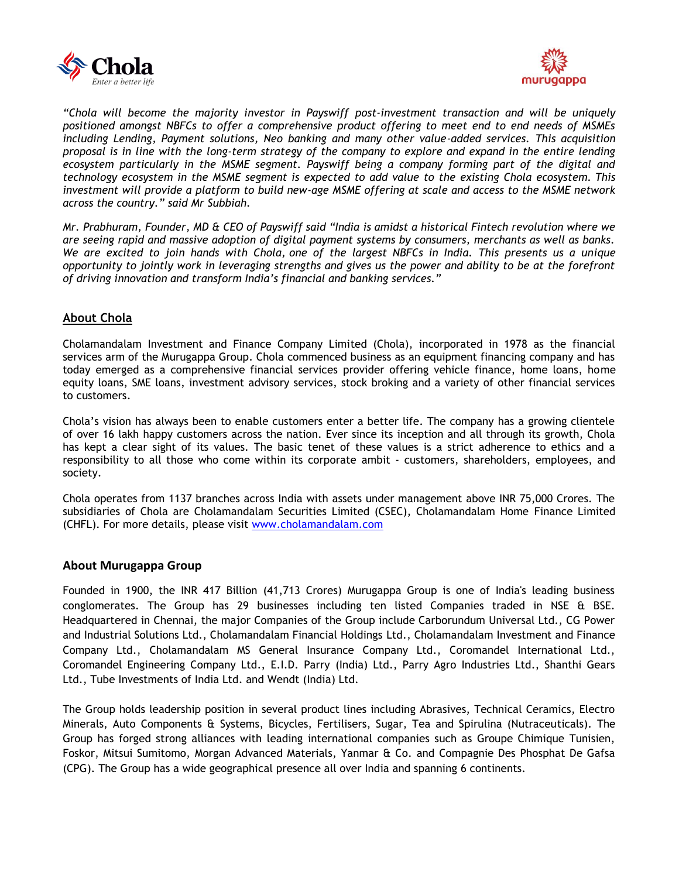



*"Chola will become the majority investor in Payswiff post-investment transaction and will be uniquely positioned amongst NBFCs to offer a comprehensive product offering to meet end to end needs of MSMEs including Lending, Payment solutions, Neo banking and many other value-added services. This acquisition proposal is in line with the long-term strategy of the company to explore and expand in the entire lending ecosystem particularly in the MSME segment. Payswiff being a company forming part of the digital and technology ecosystem in the MSME segment is expected to add value to the existing Chola ecosystem. This investment will provide a platform to build new-age MSME offering at scale and access to the MSME network across the country." said Mr Subbiah.* 

*Mr. Prabhuram, Founder, MD & CEO of Payswiff said "India is amidst a historical Fintech revolution where we are seeing rapid and massive adoption of digital payment systems by consumers, merchants as well as banks. We are excited to join hands with Chola, one of the largest NBFCs in India. This presents us a unique opportunity to jointly work in leveraging strengths and gives us the power and ability to be at the forefront of driving innovation and transform India's financial and banking services."*

# **About Chola**

Cholamandalam Investment and Finance Company Limited (Chola), incorporated in 1978 as the financial services arm of the Murugappa Group. Chola commenced business as an equipment financing company and has today emerged as a comprehensive financial services provider offering vehicle finance, home loans, home equity loans, SME loans, investment advisory services, stock broking and a variety of other financial services to customers.

Chola's vision has always been to enable customers enter a better life. The company has a growing clientele of over 16 lakh happy customers across the nation. Ever since its inception and all through its growth, Chola has kept a clear sight of its values. The basic tenet of these values is a strict adherence to ethics and a responsibility to all those who come within its corporate ambit - customers, shareholders, employees, and society.

Chola operates from 1137 branches across India with assets under management above INR 75,000 Crores. The subsidiaries of Chola are Cholamandalam Securities Limited (CSEC), Cholamandalam Home Finance Limited (CHFL). For more details, please visit [www.cholamandalam.com](http://www.cholamandalam.com/)

## **About Murugappa Group**

Founded in 1900, the INR 417 Billion (41,713 Crores) Murugappa Group is one of India's leading business conglomerates. The Group has 29 businesses including ten listed Companies traded in NSE & BSE. Headquartered in Chennai, the major Companies of the Group include Carborundum Universal Ltd., CG Power and Industrial Solutions Ltd., Cholamandalam Financial Holdings Ltd., Cholamandalam Investment and Finance Company Ltd., Cholamandalam MS General Insurance Company Ltd., Coromandel International Ltd., Coromandel Engineering Company Ltd., E.I.D. Parry (India) Ltd., Parry Agro Industries Ltd., Shanthi Gears Ltd., Tube Investments of India Ltd. and Wendt (India) Ltd.

The Group holds leadership position in several product lines including Abrasives, Technical Ceramics, Electro Minerals, Auto Components & Systems, Bicycles, Fertilisers, Sugar, Tea and Spirulina (Nutraceuticals). The Group has forged strong alliances with leading international companies such as Groupe Chimique Tunisien, Foskor, Mitsui Sumitomo, Morgan Advanced Materials, Yanmar & Co. and Compagnie Des Phosphat De Gafsa (CPG). The Group has a wide geographical presence all over India and spanning 6 continents.